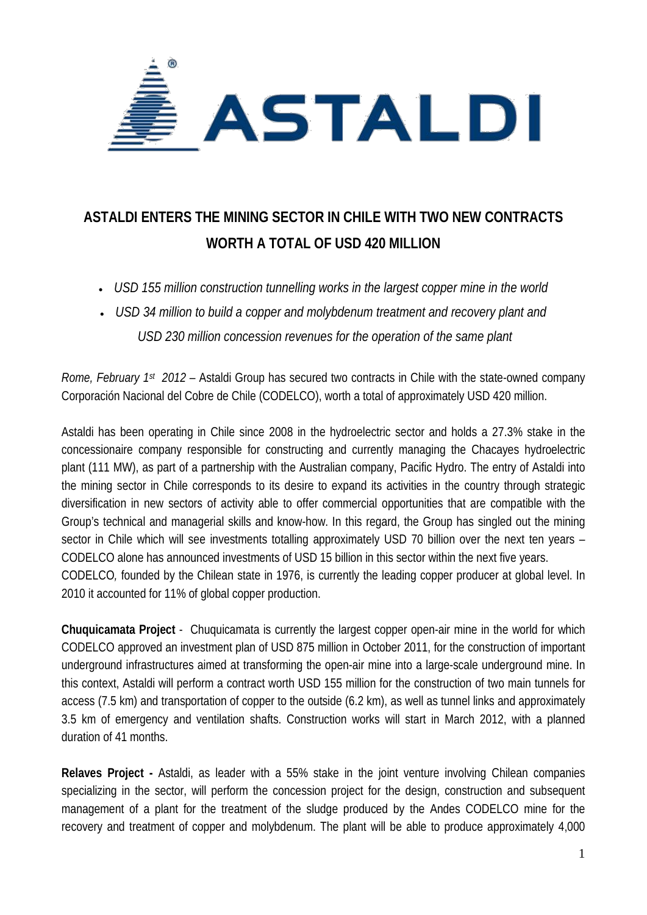

## **ASTALDI ENTERS THE MINING SECTOR IN CHILE WITH TWO NEW CONTRACTS WORTH A TOTAL OF USD 420 MILLION**

- *USD 155 million construction tunnelling works in the largest copper mine in the world*
- *USD 34 million to build a copper and molybdenum treatment and recovery plant and USD 230 million concession revenues for the operation of the same plant*

*Rome, February 1st 2012* – Astaldi Group has secured two contracts in Chile with the state-owned company Corporación Nacional del Cobre de Chile (CODELCO), worth a total of approximately USD 420 million.

Astaldi has been operating in Chile since 2008 in the hydroelectric sector and holds a 27.3% stake in the concessionaire company responsible for constructing and currently managing the Chacayes hydroelectric plant (111 MW), as part of a partnership with the Australian company, Pacific Hydro. The entry of Astaldi into the mining sector in Chile corresponds to its desire to expand its activities in the country through strategic diversification in new sectors of activity able to offer commercial opportunities that are compatible with the Group's technical and managerial skills and know-how. In this regard, the Group has singled out the mining sector in Chile which will see investments totalling approximately USD 70 billion over the next ten years – CODELCO alone has announced investments of USD 15 billion in this sector within the next five years. CODELCO*,* founded by the Chilean state in 1976, is currently the leading copper producer at global level. In 2010 it accounted for 11% of global copper production.

**Chuquicamata Project** - Chuquicamata is currently the largest copper open-air mine in the world for which CODELCO approved an investment plan of USD 875 million in October 2011, for the construction of important underground infrastructures aimed at transforming the open-air mine into a large-scale underground mine. In this context, Astaldi will perform a contract worth USD 155 million for the construction of two main tunnels for access (7.5 km) and transportation of copper to the outside (6.2 km), as well as tunnel links and approximately 3.5 km of emergency and ventilation shafts. Construction works will start in March 2012, with a planned duration of 41 months.

**Relaves Project -** Astaldi, as leader with a 55% stake in the joint venture involving Chilean companies specializing in the sector, will perform the concession project for the design, construction and subsequent management of a plant for the treatment of the sludge produced by the Andes CODELCO mine for the recovery and treatment of copper and molybdenum. The plant will be able to produce approximately 4,000